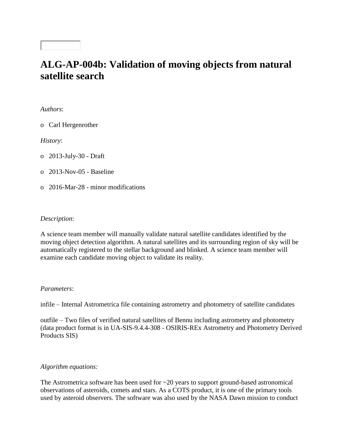# **ALG-AP-004b: Validation of moving objects from natural satellite search**

*Authors*:

o Carl Hergenrother

*History*:

o 2013-July-30 - Draft

o 2013-Nov-05 - Baseline

o 2016-Mar-28 - minor modifications

### *Description*:

A science team member will manually validate natural satellite candidates identified by the moving object detection algorithm. A natural satellites and its surrounding region of sky will be automatically registered to the stellar background and blinked. A science team member will examine each candidate moving object to validate its reality.

#### *Parameters*:

infile – Internal Astrometrica file containing astrometry and photometry of satellite candidates

outfile – Two files of verified natural satellites of Bennu including astrometry and photometry (data product format is in UA-SIS-9.4.4-308 - OSIRIS-REx Astrometry and Photometry Derived Products SIS)

## *Algorithm equations:*

The Astrometrica software has been used for  $\sim$ 20 years to support ground-based astronomical observations of asteroids, comets and stars. As a COTS product, it is one of the primary tools used by asteroid observers. The software was also used by the NASA Dawn mission to conduct